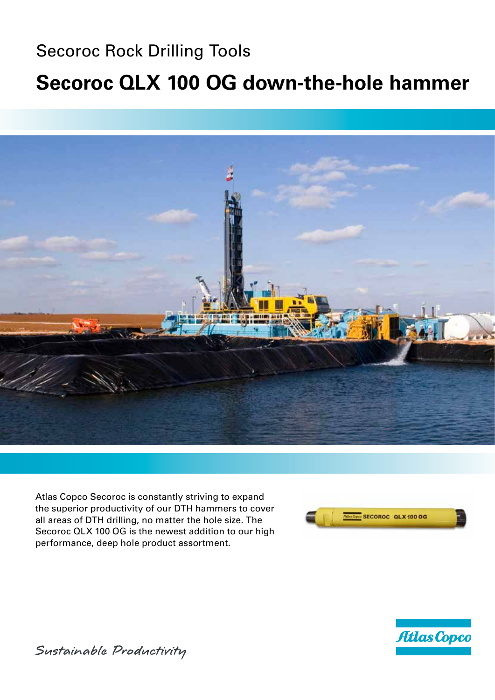## Secoroc Rock Drilling Tools **Secoroc QLX 100 OG down-the-hole hammer**



Atlas Copco Secoroc is constantly striving to expand the superior productivity of our DTH hammers to cover all areas of DTH drilling, no matter the hole size. The Secoroc QLX 100 OG is the newest addition to our high performance, deep hole product assortment.





Sustainable Productivity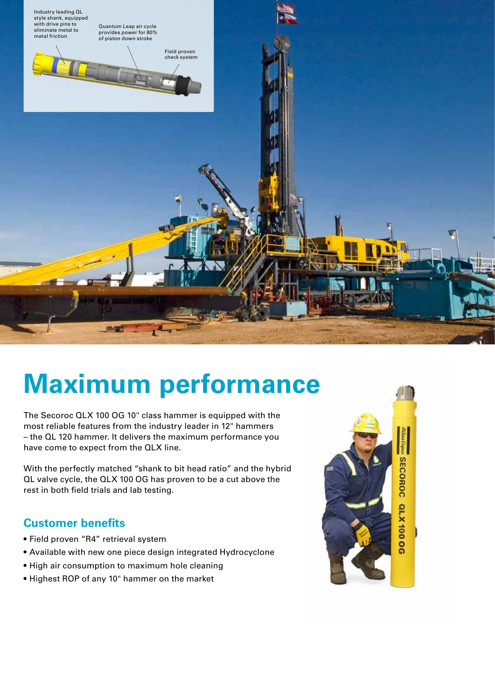

# **Maximum performance**

The Secoroc QLX 100 OG 10" class hammer is equipped with the most reliable features from the industry leader in 12" hammers – the QL 120 hammer. It delivers the maximum performance you have come to expect from the QLX line.

With the perfectly matched "shank to bit head ratio" and the hybrid QL valve cycle, the QLX 100 OG has proven to be a cut above the rest in both field trials and lab testing.

#### **Customer benefits**

- • Field proven "R4" retrieval system
- Available with new one piece design integrated Hydrocyclone
- High air consumption to maximum hole cleaning
- • Highest ROP of any 10" hammer on the market

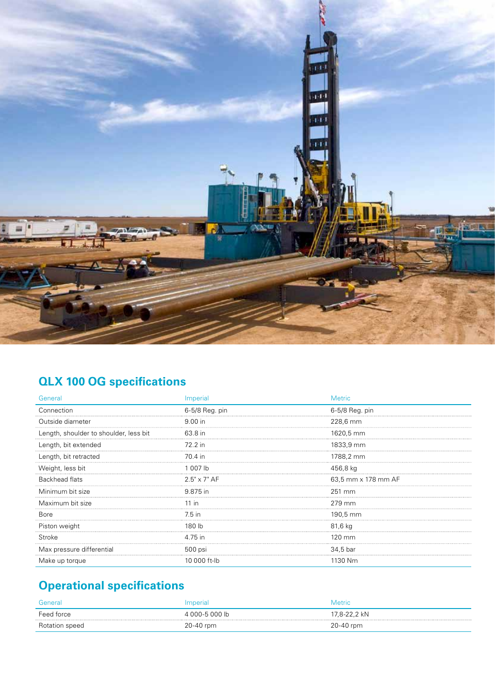

## **QLX 100 OG specifications**

| General                                | Imperial            | <b>Metric</b>       |
|----------------------------------------|---------------------|---------------------|
| Connection                             | 6-5/8 Reg. pin      | 6-5/8 Reg. pin      |
| Outside diameter                       | 9.00 in             | 228,6 mm            |
| Length, shoulder to shoulder, less bit | 63.8 in             | 1620,5 mm           |
| Length, bit extended                   | 72.2 in             | 1833,9 mm           |
| Length, bit retracted                  | 70.4 in             | 1788,2 mm           |
| Weight, less bit<br>                   | 1 007 lb            | 456,8 kg            |
| <b>Backhead flats</b>                  | $2.5" \times 7"$ AF | 63,5 mm x 178 mm AF |
| Minimum bit size                       | 9.875 in            | 251 mm              |
| Maximum bit size                       | 11 in               | 279 mm              |
| <b>Bore</b>                            | 7.5 in              | 190,5 mm<br>        |
| Piston weight                          | 180 lb              | 81,6 kg             |
| Stroke                                 | 4.75 in             | 120 mm              |
| Max pressure differential              | 500 psi             | 34,5 bar            |
| Make up torque                         | 10 000 ft-lb        | 1130 Nm             |

## **Operational specifications**

| General        | Imperial       | <b>Metric</b> |
|----------------|----------------|---------------|
| Feed force     | 4 000-5 000 lb | 17,8-22,2 kN  |
| Rotation speed | 20-40 rpm      | 20-40 rpm     |